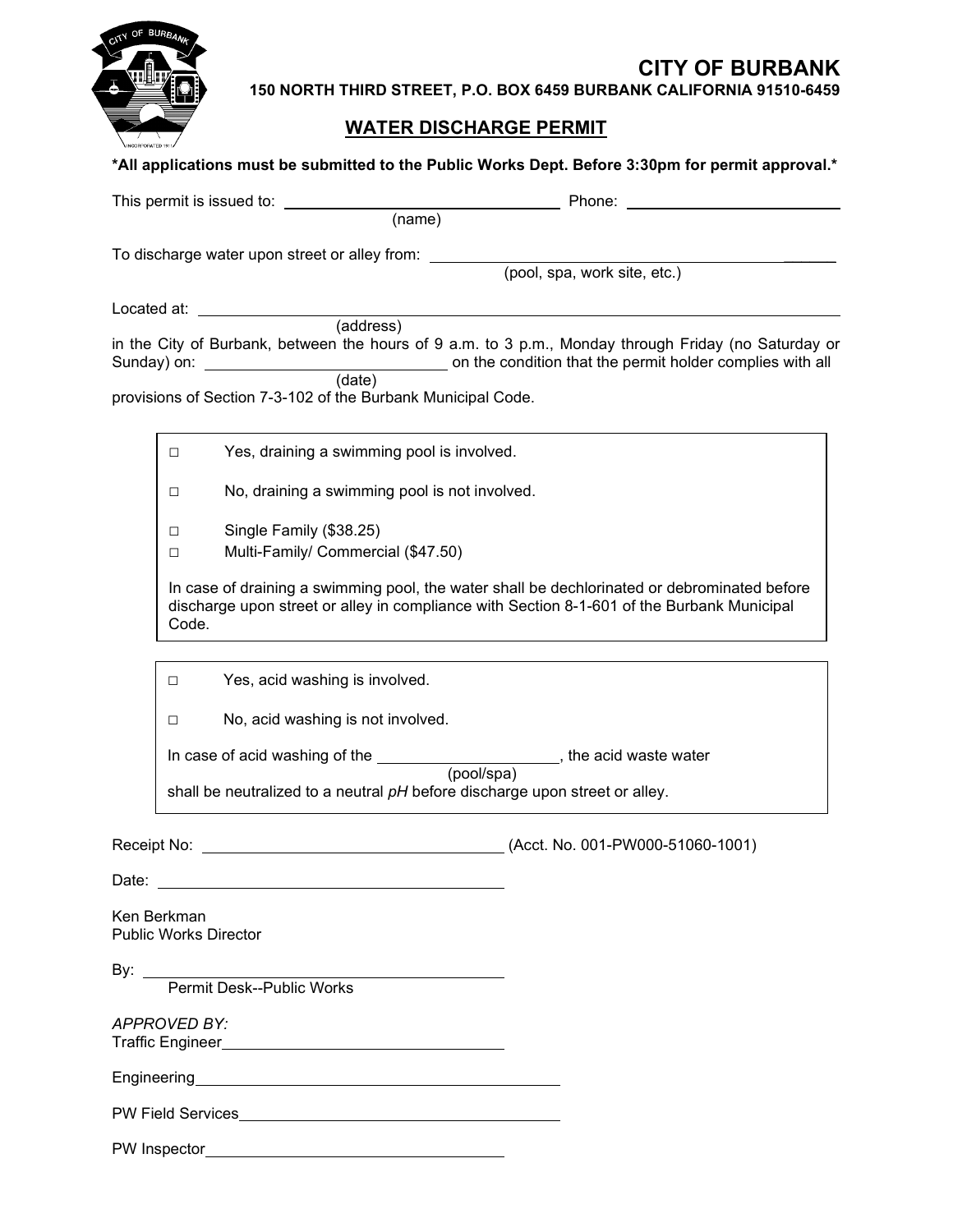

## **CITY OF BURBANK 150 NORTH THIRD STREET, P.O. BOX 6459 BURBANK CALIFORNIA 91510-6459**

## **WATER DISCHARGE PERMIT**

| *All applications must be submitted to the Public Works Dept. Before 3:30pm for permit approval.*                                                                                                                                    |  |
|--------------------------------------------------------------------------------------------------------------------------------------------------------------------------------------------------------------------------------------|--|
| Phone: the contract of the contract of the contract of the contract of the contract of the contract of the contract of the contract of the contract of the contract of the contract of the contract of the contract of the con       |  |
| (name)                                                                                                                                                                                                                               |  |
| To discharge water upon street or alley from: ________<br>(pool, spa, work site, etc.)                                                                                                                                               |  |
|                                                                                                                                                                                                                                      |  |
| Located at:<br>$\overbrace{\hspace{2.5cm}}$ (address)                                                                                                                                                                                |  |
| in the City of Burbank, between the hours of 9 a.m. to 3 p.m., Monday through Friday (no Saturday or                                                                                                                                 |  |
| provisions of Section 7-3-102 of the Burbank Municipal Code.                                                                                                                                                                         |  |
| Yes, draining a swimming pool is involved.<br>$\Box$                                                                                                                                                                                 |  |
| No, draining a swimming pool is not involved.<br>$\Box$                                                                                                                                                                              |  |
| Single Family (\$38.25)<br>$\Box$                                                                                                                                                                                                    |  |
| Multi-Family/ Commercial (\$47.50)<br>$\Box$                                                                                                                                                                                         |  |
| In case of draining a swimming pool, the water shall be dechlorinated or debrominated before<br>discharge upon street or alley in compliance with Section 8-1-601 of the Burbank Municipal<br>Code.                                  |  |
| Yes, acid washing is involved.<br>$\Box$                                                                                                                                                                                             |  |
| No, acid washing is not involved.<br>П                                                                                                                                                                                               |  |
| In case of acid washing of the ________________________, the acid waste water                                                                                                                                                        |  |
| (pool/spa)<br>shall be neutralized to a neutral pH before discharge upon street or alley.                                                                                                                                            |  |
| Receipt No:<br>(Acct. No. 001-PW000-51060-1001)                                                                                                                                                                                      |  |
|                                                                                                                                                                                                                                      |  |
| Ken Berkman<br><b>Public Works Director</b>                                                                                                                                                                                          |  |
|                                                                                                                                                                                                                                      |  |
| <b>APPROVED BY:</b>                                                                                                                                                                                                                  |  |
| Engineering entrance and the contract of the contract of the contract of the contract of the contract of the contract of the contract of the contract of the contract of the contract of the contract of the contract of the c       |  |
| PW Field Services <b>Contract Contract Contract Contract Contract Contract Contract Contract Contract Contract Contract Contract Contract Contract Contract Contract Contract Contract Contract Contract Contract Contract Contr</b> |  |
|                                                                                                                                                                                                                                      |  |